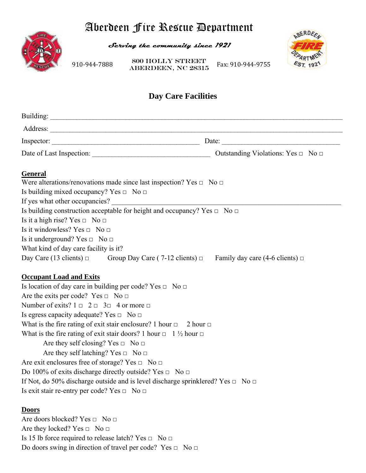# Aberdeen Fire Rescue Department



**Serving the community since 1921** 



Do doors swing in direction of travel per code? Yes □ No □

910‐944‐7888 **ABERDEEN, NC 28315** Fax: 910‐944‐9755 800 Holly Street

# **Day Care Facilities**

| Inspector:                                                                                             | Date: $\qquad \qquad$ |
|--------------------------------------------------------------------------------------------------------|-----------------------|
|                                                                                                        |                       |
| <b>General</b>                                                                                         |                       |
| Were alterations/renovations made since last inspection? Yes $\Box$ No $\Box$                          |                       |
| Is building mixed occupancy? Yes $\Box$ No $\Box$                                                      |                       |
|                                                                                                        |                       |
| Is building construction acceptable for height and occupancy? Yes $\Box$ No $\Box$                     |                       |
| Is it a high rise? Yes $\Box$ No $\Box$                                                                |                       |
| Is it windowless? Yes $\Box$ No $\Box$                                                                 |                       |
| Is it underground? Yes $\Box$ No $\Box$                                                                |                       |
| What kind of day care facility is it?                                                                  |                       |
| Day Care (13 clients) $\Box$ Group Day Care (7-12 clients) $\Box$ Family day care (4-6 clients) $\Box$ |                       |
| <b>Occupant Load and Exits</b>                                                                         |                       |
| Is location of day care in building per code? Yes $\Box$ No $\Box$                                     |                       |
| Are the exits per code? Yes $\Box$ No $\Box$                                                           |                       |
| Number of exits? $1 \square 2 \square 3 \square 4$ or more $\square$                                   |                       |
| Is egress capacity adequate? Yes $\Box$ No $\Box$                                                      |                       |
| What is the fire rating of exit stair enclosure? 1 hour $\Box$ 2 hour $\Box$                           |                       |
| What is the fire rating of exit stair doors? 1 hour $\Box$ 1 $\frac{1}{2}$ hour $\Box$                 |                       |
| Are they self closing? Yes $\Box$ No $\Box$                                                            |                       |
| Are they self latching? Yes $\Box$ No $\Box$                                                           |                       |
| Are exit enclosures free of storage? Yes $\Box$ No $\Box$                                              |                       |
| Do 100% of exits discharge directly outside? Yes $\Box$ No $\Box$                                      |                       |
| If Not, do 50% discharge outside and is level discharge sprinklered? Yes $\Box$ No $\Box$              |                       |
| Is exit stair re-entry per code? Yes $\Box$ No $\Box$                                                  |                       |
| <b>Doors</b>                                                                                           |                       |
| Are doors blocked? Yes $\Box$ No $\Box$                                                                |                       |
| Are they locked? Yes $\Box$ No $\Box$                                                                  |                       |
| Is 15 lb force required to release latch? Yes $\Box$ No $\Box$                                         |                       |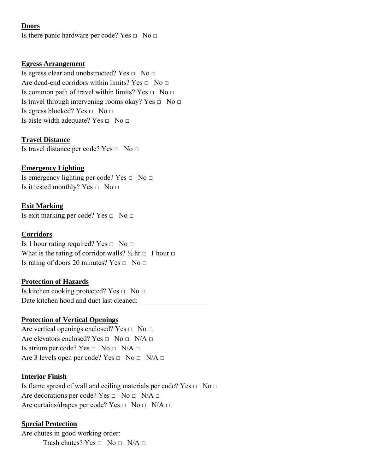## **Doors**

Is there panic hardware per code? Yes  $\Box$  No  $\Box$ 

#### **Egress Arrangement**

Is egress clear and unobstructed? Yes  $\Box$  No  $\Box$ Are dead-end corridors within limits? Yes  $\Box$  No  $\Box$ Is common path of travel within limits? Yes  $\Box$  No  $\Box$ Is travel through intervening rooms okay? Yes  $\Box$  No  $\Box$ Is egress blocked? Yes □ No □ Is aisle width adequate? Yes  $\Box$  No  $\Box$ 

#### **Travel Distance**

Is travel distance per code? Yes □ No □

### **Emergency Lighting**

Is emergency lighting per code? Yes  $\Box$  No  $\Box$ Is it tested monthly? Yes  $\Box$  No  $\Box$ 

### **Exit Marking**

Is exit marking per code? Yes  $\Box$  No  $\Box$ 

#### **Corridors**

Is 1 hour rating required? Yes  $\Box$  No  $\Box$ What is the rating of corridor walls?  $\frac{1}{2}$  hr  $\Box$  1 hour  $\Box$ Is rating of doors 20 minutes? Yes  $\Box$  No  $\Box$ 

#### **Protection of Hazards**

Is kitchen cooking protected? Yes  $\Box$  No  $\Box$ Date kitchen hood and duct last cleaned:

#### **Protection of Vertical Openings**

Are vertical openings enclosed? Yes  $\Box$  No  $\Box$ Are elevators enclosed? Yes  $\Box$  No  $\Box$  N/A  $\Box$ Is atrium per code? Yes  $\Box$  No  $\Box$  N/A  $\Box$ Are 3 levels open per code? Yes  $\Box$  No  $\Box$  N/A  $\Box$ 

#### **Interior Finish**

Is flame spread of wall and ceiling materials per code? Yes □ No □ Are decorations per code? Yes  $\Box$  No  $\Box$  N/A  $\Box$ Are curtains/drapes per code? Yes  $\Box$  No  $\Box$  N/A  $\Box$ 

#### **Special Protection**

Are chutes in good working order: Trash chutes? Yes  $\Box$  No  $\Box$  N/A  $\Box$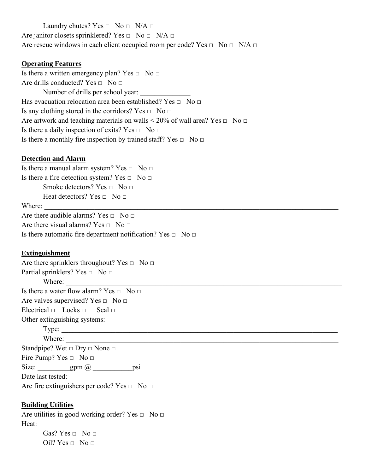Laundry chutes? Yes  $\Box$  No  $\Box$  N/A  $\Box$ Are janitor closets sprinklered? Yes  $\Box$  No  $\Box$  N/A  $\Box$ Are rescue windows in each client occupied room per code? Yes  $\Box$  No  $\Box$  N/A  $\Box$ 

#### **Operating Features**

Is there a written emergency plan? Yes  $\Box$  No  $\Box$ Are drills conducted? Yes  $\Box$  No  $\Box$ Number of drills per school year: Has evacuation relocation area been established? Yes  $\Box$  No  $\Box$ Is any clothing stored in the corridors? Yes  $\Box$  No  $\Box$ Are artwork and teaching materials on walls  $\leq 20\%$  of wall area? Yes  $\Box$  No  $\Box$ Is there a daily inspection of exits? Yes  $\Box$  No  $\Box$ Is there a monthly fire inspection by trained staff? Yes  $\Box$  No  $\Box$ 

#### **Detection and Alarm**

Is there a manual alarm system? Yes  $\Box$  No  $\Box$ Is there a fire detection system? Yes  $\Box$  No  $\Box$ Smoke detectors? Yes  $\Box$  No  $\Box$ Heat detectors? Yes  $\Box$  No  $\Box$ Where: \_\_\_\_\_\_\_\_\_\_\_\_\_\_\_\_\_\_\_\_\_\_\_\_\_\_\_\_\_\_\_\_\_\_\_\_\_\_\_\_\_\_\_\_\_\_\_\_\_\_\_\_\_\_\_\_\_\_\_\_\_\_\_\_\_\_\_\_\_\_\_\_\_\_\_\_\_\_\_\_\_\_ Are there audible alarms? Yes  $\Box$  No  $\Box$ Are there visual alarms? Yes  $\Box$  No  $\Box$ Is there automatic fire department notification? Yes  $\Box$  No  $\Box$ 

#### **Extinguishment**

Are there sprinklers throughout? Yes  $\Box$  No  $\Box$ Partial sprinklers? Yes  $\Box$  No  $\Box$ Where: Is there a water flow alarm? Yes  $\Box$  No  $\Box$ Are valves supervised? Yes  $\Box$  No  $\Box$ Electrical  $\Box$  Locks  $\Box$  Seal  $\Box$ Other extinguishing systems: Type: \_\_\_\_\_\_\_\_\_\_\_\_\_\_\_\_\_\_\_\_\_\_\_\_\_\_\_\_\_\_\_\_\_\_\_\_\_\_\_\_\_\_\_\_\_\_\_\_\_\_\_\_\_\_\_\_\_\_\_\_\_\_\_\_\_\_\_\_\_\_\_\_\_\_\_\_\_ Where: Standpipe? Wet  $\Box$  Dry  $\Box$  None  $\Box$ Fire Pump? Yes  $\Box$  No  $\Box$ Size: \_\_\_\_\_\_\_gpm @ \_\_\_\_\_\_\_\_\_\_psi Date last tested: \_\_\_\_\_\_\_\_\_\_\_\_\_\_\_\_\_\_\_\_ Are fire extinguishers per code? Yes  $\Box$  No  $\Box$ 

#### **Building Utilities**

Are utilities in good working order? Yes  $\Box$  No  $\Box$ Heat: Gas? Yes  $\Box$  No  $\Box$ 

Oil? Yes  $\Box$  No  $\Box$